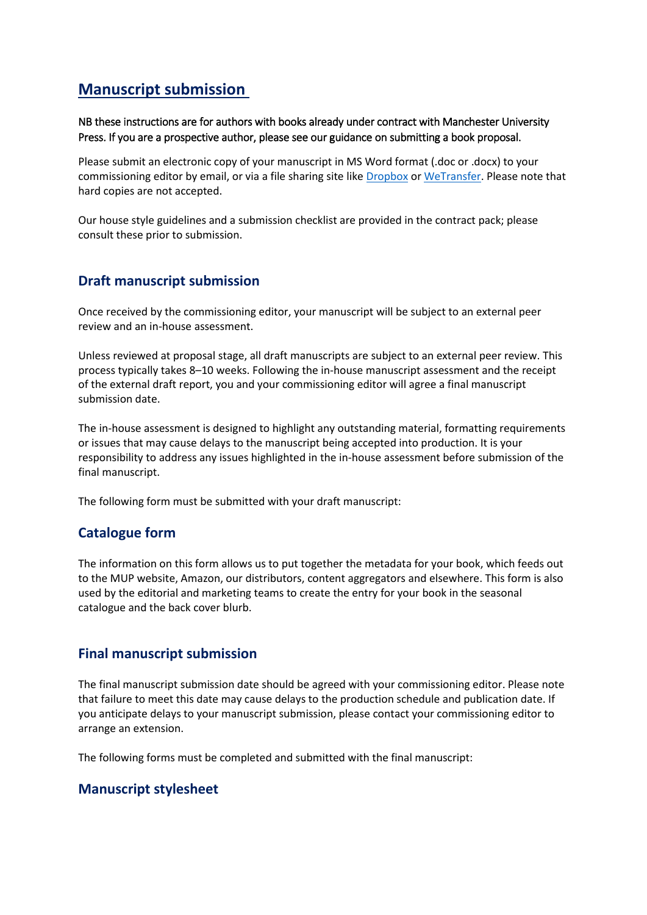# **Manuscript submission**

NB these instructions are for authors with books already under contract with Manchester University Press. If you are a prospective author, please see our guidance on submitting a book proposal.

Please submit an electronic copy of your manuscript in MS Word format (.doc or .docx) to your commissioning editor by email, or via a file sharing site like [Dropbox](https://www.dropbox.com/) or [WeTransfer.](https://wetransfer.com/) Please note that hard copies are not accepted.

Our house style guidelines and a submission checklist are provided in the contract pack; please consult these prior to submission.

## **Draft manuscript submission**

Once received by the commissioning editor, your manuscript will be subject to an external peer review and an in-house assessment.

Unless reviewed at proposal stage, all draft manuscripts are subject to an external peer review. This process typically takes 8–10 weeks. Following the in-house manuscript assessment and the receipt of the external draft report, you and your commissioning editor will agree a final manuscript submission date.

The in-house assessment is designed to highlight any outstanding material, formatting requirements or issues that may cause delays to the manuscript being accepted into production. It is your responsibility to address any issues highlighted in the in-house assessment before submission of the final manuscript.

The following form must be submitted with your draft manuscript:

## **Catalogue form**

The information on this form allows us to put together the metadata for your book, which feeds out to the MUP website, Amazon, our distributors, content aggregators and elsewhere. This form is also used by the editorial and marketing teams to create the entry for your book in the seasonal catalogue and the back cover blurb.

#### **Final manuscript submission**

The final manuscript submission date should be agreed with your commissioning editor. Please note that failure to meet this date may cause delays to the production schedule and publication date. If you anticipate delays to your manuscript submission, please contact your commissioning editor to arrange an extension.

The following forms must be completed and submitted with the final manuscript:

### **Manuscript stylesheet**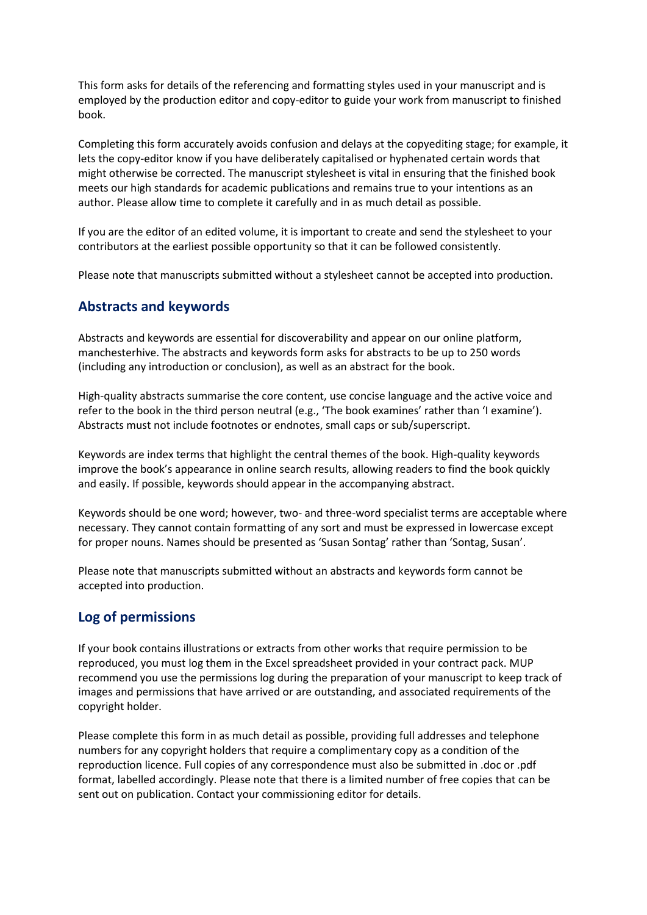This form asks for details of the referencing and formatting styles used in your manuscript and is employed by the production editor and copy-editor to guide your work from manuscript to finished book.

Completing this form accurately avoids confusion and delays at the copyediting stage; for example, it lets the copy-editor know if you have deliberately capitalised or hyphenated certain words that might otherwise be corrected. The manuscript stylesheet is vital in ensuring that the finished book meets our high standards for academic publications and remains true to your intentions as an author. Please allow time to complete it carefully and in as much detail as possible.

If you are the editor of an edited volume, it is important to create and send the stylesheet to your contributors at the earliest possible opportunity so that it can be followed consistently.

Please note that manuscripts submitted without a stylesheet cannot be accepted into production.

#### **Abstracts and keywords**

Abstracts and keywords are essential for discoverability and appear on our online platform, manchesterhive. The abstracts and keywords form asks for abstracts to be up to 250 words (including any introduction or conclusion), as well as an abstract for the book.

High-quality abstracts summarise the core content, use concise language and the active voice and refer to the book in the third person neutral (e.g., 'The book examines' rather than 'I examine'). Abstracts must not include footnotes or endnotes, small caps or sub/superscript.

Keywords are index terms that highlight the central themes of the book. High-quality keywords improve the book's appearance in online search results, allowing readers to find the book quickly and easily. If possible, keywords should appear in the accompanying abstract.

Keywords should be one word; however, two- and three-word specialist terms are acceptable where necessary. They cannot contain formatting of any sort and must be expressed in lowercase except for proper nouns. Names should be presented as 'Susan Sontag' rather than 'Sontag, Susan'.

Please note that manuscripts submitted without an abstracts and keywords form cannot be accepted into production.

### **Log of permissions**

If your book contains illustrations or extracts from other works that require permission to be reproduced, you must log them in the Excel spreadsheet provided in your contract pack. MUP recommend you use the permissions log during the preparation of your manuscript to keep track of images and permissions that have arrived or are outstanding, and associated requirements of the copyright holder.

Please complete this form in as much detail as possible, providing full addresses and telephone numbers for any copyright holders that require a complimentary copy as a condition of the reproduction licence. Full copies of any correspondence must also be submitted in .doc or .pdf format, labelled accordingly. Please note that there is a limited number of free copies that can be sent out on publication. Contact your commissioning editor for details.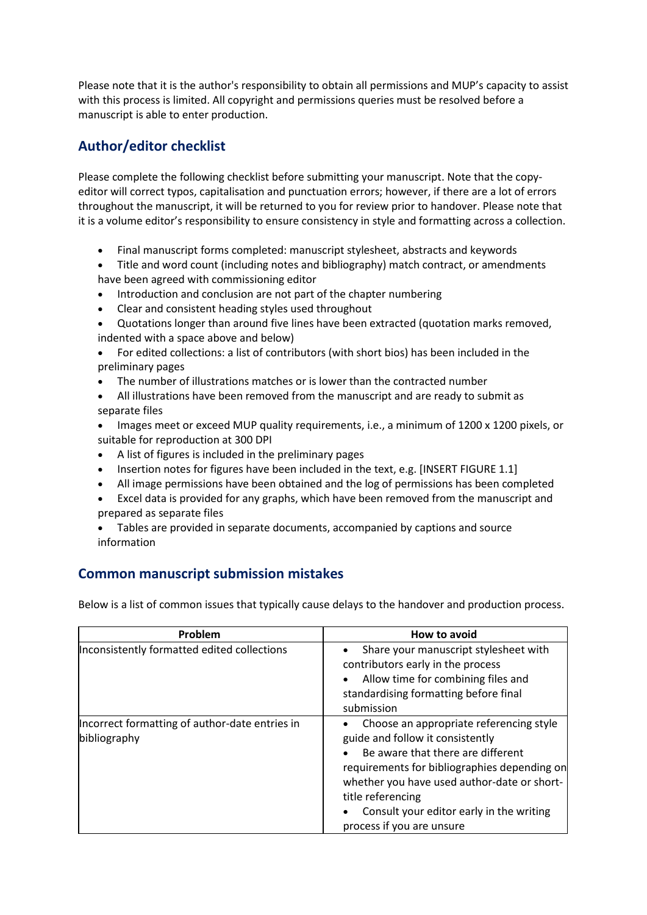Please note that it is the author's responsibility to obtain all permissions and MUP's capacity to assist with this process is limited. All copyright and permissions queries must be resolved before a manuscript is able to enter production.

# **Author/editor checklist**

Please complete the following checklist before submitting your manuscript. Note that the copyeditor will correct typos, capitalisation and punctuation errors; however, if there are a lot of errors throughout the manuscript, it will be returned to you for review prior to handover. Please note that it is a volume editor's responsibility to ensure consistency in style and formatting across a collection.

- Final manuscript forms completed: manuscript stylesheet, abstracts and keywords
- Title and word count (including notes and bibliography) match contract, or amendments have been agreed with commissioning editor
- Introduction and conclusion are not part of the chapter numbering
- Clear and consistent heading styles used throughout
- Quotations longer than around five lines have been extracted (quotation marks removed, indented with a space above and below)
- For edited collections: a list of contributors (with short bios) has been included in the preliminary pages
- The number of illustrations matches or is lower than the contracted number
- All illustrations have been removed from the manuscript and are ready to submit as separate files
- Images meet or exceed MUP quality requirements, i.e., a minimum of 1200 x 1200 pixels, or suitable for reproduction at 300 DPI
- A list of figures is included in the preliminary pages
- Insertion notes for figures have been included in the text, e.g. [INSERT FIGURE 1.1]
- All image permissions have been obtained and the log of permissions has been completed
- Excel data is provided for any graphs, which have been removed from the manuscript and prepared as separate files
- Tables are provided in separate documents, accompanied by captions and source information

## **Common manuscript submission mistakes**

Below is a list of common issues that typically cause delays to the handover and production process.

| Problem                                                        | How to avoid                                                                                                                                                                                                                                                                                                  |
|----------------------------------------------------------------|---------------------------------------------------------------------------------------------------------------------------------------------------------------------------------------------------------------------------------------------------------------------------------------------------------------|
| Inconsistently formatted edited collections                    | Share your manuscript stylesheet with<br>contributors early in the process<br>Allow time for combining files and<br>standardising formatting before final<br>submission                                                                                                                                       |
| Incorrect formatting of author-date entries in<br>bibliography | Choose an appropriate referencing style<br>guide and follow it consistently<br>Be aware that there are different<br>requirements for bibliographies depending on<br>whether you have used author-date or short-<br>title referencing<br>Consult your editor early in the writing<br>process if you are unsure |